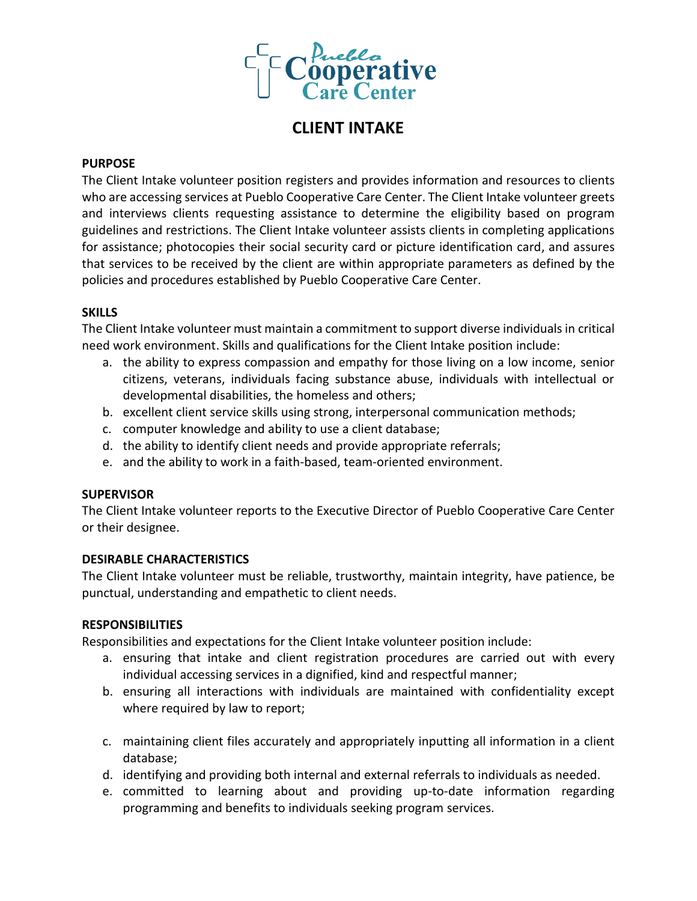

# **CLIENT INTAKE**

## **PURPOSE**

The Client Intake volunteer position registers and provides information and resources to clients who are accessing services at Pueblo Cooperative Care Center. The Client Intake volunteer greets and interviews clients requesting assistance to determine the eligibility based on program guidelines and restrictions. The Client Intake volunteer assists clients in completing applications for assistance; photocopies their social security card or picture identification card, and assures that services to be received by the client are within appropriate parameters as defined by the policies and procedures established by Pueblo Cooperative Care Center.

## **SKILLS**

The Client Intake volunteer must maintain a commitment to support diverse individuals in critical need work environment. Skills and qualifications for the Client Intake position include:

- a. the ability to express compassion and empathy for those living on a low income, senior citizens, veterans, individuals facing substance abuse, individuals with intellectual or developmental disabilities, the homeless and others;
- b. excellent client service skills using strong, interpersonal communication methods;
- c. computer knowledge and ability to use a client database;
- d. the ability to identify client needs and provide appropriate referrals;
- e. and the ability to work in a faith-based, team-oriented environment.

## **SUPERVISOR**

The Client Intake volunteer reports to the Executive Director of Pueblo Cooperative Care Center or their designee.

## **DESIRABLE CHARACTERISTICS**

The Client Intake volunteer must be reliable, trustworthy, maintain integrity, have patience, be punctual, understanding and empathetic to client needs.

#### **RESPONSIBILITIES**

Responsibilities and expectations for the Client Intake volunteer position include:

- a. ensuring that intake and client registration procedures are carried out with every individual accessing services in a dignified, kind and respectful manner;
- b. ensuring all interactions with individuals are maintained with confidentiality except where required by law to report;
- c. maintaining client files accurately and appropriately inputting all information in a client database;
- d. identifying and providing both internal and external referrals to individuals as needed.
- e. committed to learning about and providing up-to-date information regarding programming and benefits to individuals seeking program services.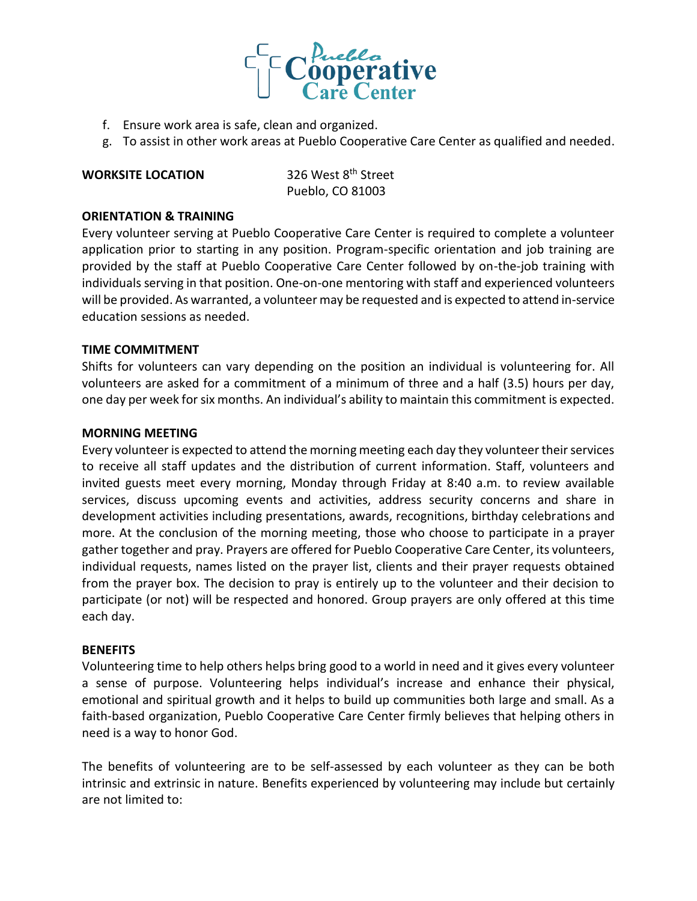

- f. Ensure work area is safe, clean and organized.
- g. To assist in other work areas at Pueblo Cooperative Care Center as qualified and needed.

# **WORKSITE LOCATION** 326 West 8<sup>th</sup> Street

Pueblo, CO 81003

## **ORIENTATION & TRAINING**

Every volunteer serving at Pueblo Cooperative Care Center is required to complete a volunteer application prior to starting in any position. Program-specific orientation and job training are provided by the staff at Pueblo Cooperative Care Center followed by on-the-job training with individuals serving in that position. One-on-one mentoring with staff and experienced volunteers will be provided. As warranted, a volunteer may be requested and is expected to attend in-service education sessions as needed.

#### **TIME COMMITMENT**

Shifts for volunteers can vary depending on the position an individual is volunteering for. All volunteers are asked for a commitment of a minimum of three and a half (3.5) hours per day, one day per week for six months. An individual's ability to maintain this commitment is expected.

#### **MORNING MEETING**

Every volunteer is expected to attend the morning meeting each day they volunteer their services to receive all staff updates and the distribution of current information. Staff, volunteers and invited guests meet every morning, Monday through Friday at 8:40 a.m. to review available services, discuss upcoming events and activities, address security concerns and share in development activities including presentations, awards, recognitions, birthday celebrations and more. At the conclusion of the morning meeting, those who choose to participate in a prayer gather together and pray. Prayers are offered for Pueblo Cooperative Care Center, its volunteers, individual requests, names listed on the prayer list, clients and their prayer requests obtained from the prayer box. The decision to pray is entirely up to the volunteer and their decision to participate (or not) will be respected and honored. Group prayers are only offered at this time each day.

#### **BENEFITS**

Volunteering time to help others helps bring good to a world in need and it gives every volunteer a sense of purpose. Volunteering helps individual's increase and enhance their physical, emotional and spiritual growth and it helps to build up communities both large and small. As a faith-based organization, Pueblo Cooperative Care Center firmly believes that helping others in need is a way to honor God.

The benefits of volunteering are to be self-assessed by each volunteer as they can be both intrinsic and extrinsic in nature. Benefits experienced by volunteering may include but certainly are not limited to: